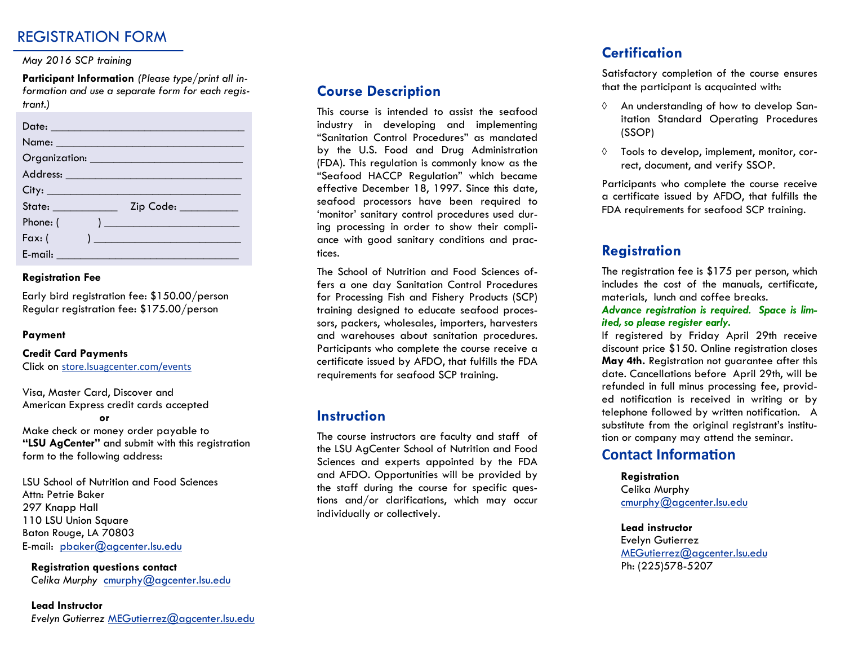## REGISTRATION FORM

#### *May 2016 SCP training*

**Participant Information** *(Please type/print all information and use a separate form for each registrant.)* 

| Date: 2008 2010 2021 2022 2023 2024 2022 2023 2024 2022 2023 2024 2022 2023 2024 2022 2023 2024 2025 2026 2027 |                                                                                                                                                                                                                                      |
|----------------------------------------------------------------------------------------------------------------|--------------------------------------------------------------------------------------------------------------------------------------------------------------------------------------------------------------------------------------|
|                                                                                                                |                                                                                                                                                                                                                                      |
|                                                                                                                | Organization: <u>contract and contract and contract and contract and contract and contract and contract and contract and contract and contract and contract and contract and contract and contract and contract and contract and</u> |
|                                                                                                                |                                                                                                                                                                                                                                      |
|                                                                                                                | City:                                                                                                                                                                                                                                |
| State: ____________                                                                                            | Zip Code: _________                                                                                                                                                                                                                  |
| Phone: (                                                                                                       | ) and the set of the set of $\mathcal{L}$                                                                                                                                                                                            |
| $Fax:$ (                                                                                                       | ) and the contract of the contract of $\mathcal{L}_\mathcal{A}$                                                                                                                                                                      |
| E-mail: __________________                                                                                     |                                                                                                                                                                                                                                      |

#### **Registration Fee**

Early bird registration fee: \$150.00/person Regular registration fee: \$175.00/person

#### **Payment**

## **Credit Card Payments**

Click on [store.lsuagcenter.com/events](http://store.lsuagcenter.com/events)

Visa, Master Card, Discover and American Express credit cards accepted

**or**

Make check or money order payable to **"LSU AgCenter"** and submit with this registration form to the following address:

LSU School of Nutrition and Food Sciences Attn: Petrie Baker 297 Knapp Hall 110 LSU Union Square Baton Rouge, LA 70803 E-mail: [pbaker@agcenter.lsu.edu](mailto:pbaker@agcenter.lsu.edu) 

**Registration questions contact**  *Celika Murphy* cmurphy@agcenter.lsu.edu

#### **Lead Instructor**  *Evelyn Gutierrez* [MEGutierrez@agcenter.lsu.edu](mailto:MEGutierrez@agcenter.lsu.edu)

### **Course Description**

This course is intended to assist the seafood industry in developing and implementing "Sanitation Control Procedures" as mandated by the U.S. Food and Drug Administration (FDA). This regulation is commonly know as the "Seafood HACCP Regulation" which became effective December 18, 1997. Since this date, seafood processors have been required to 'monitor' sanitary control procedures used during processing in order to show their compliance with good sanitary conditions and practices.

The School of Nutrition and Food Sciences offers a one day Sanitation Control Procedures for Processing Fish and Fishery Products (SCP) training designed to educate seafood processors, packers, wholesales, importers, harvesters and warehouses about sanitation procedures. Participants who complete the course receive a certificate issued by AFDO, that fulfills the FDA requirements for seafood SCP training.

### **Instruction**

The course instructors are faculty and staff of the LSU AgCenter School of Nutrition and Food Sciences and experts appointed by the FDA and AFDO. Opportunities will be provided by the staff during the course for specific questions and/or clarifications, which may occur individually or collectively.

## **Certification**

Satisfactory completion of the course ensures that the participant is acquainted with:

- An understanding of how to develop Sanitation Standard Operating Procedures (SSOP)
- $\Diamond$  Tools to develop, implement, monitor, correct, document, and verify SSOP.

Participants who complete the course receive a certificate issued by AFDO, that fulfills the FDA requirements for seafood SCP training.

## **Registration**

The registration fee is \$175 per person, which includes the cost of the manuals, certificate, materials, lunch and coffee breaks.

*Advance registration is required. Space is limited, so please register early.* 

If registered by Friday April 29th receive discount price \$150. Online registration closes **May 4th.** Registration not guarantee after this date. Cancellations before April 29th, will be refunded in full minus processing fee, provided notification is received in writing or by telephone followed by written notification. A substitute from the original registrant's institution or company may attend the seminar.

## **Contact Information**

#### **Registration**

Celika Murphy cmurphy@agcenter.lsu.edu

#### **Lead instructor**

Evelyn Gutierrez MEGutierrez@agcenter.lsu.edu Ph: (225)578-5207